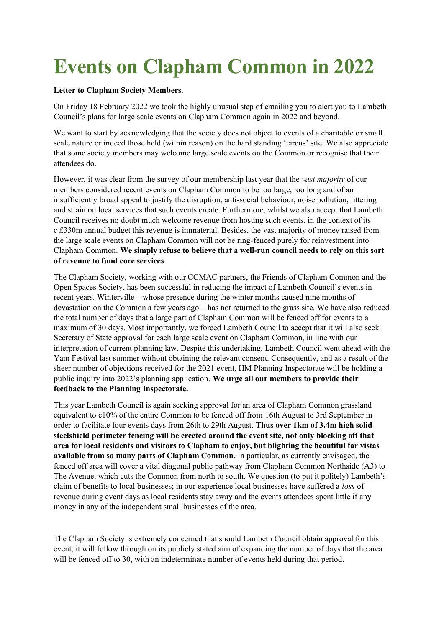## **Events on Clapham Common in 2022**

## **Letter to Clapham Society Members.**

On Friday 18 February 2022 we took the highly unusual step of emailing you to alert you to Lambeth Council's plans for large scale events on Clapham Common again in 2022 and beyond.

We want to start by acknowledging that the society does not object to events of a charitable or small scale nature or indeed those held (within reason) on the hard standing 'circus' site. We also appreciate that some society members may welcome large scale events on the Common or recognise that their attendees do.

However, it was clear from the survey of our membership last year that the *vast majority* of our members considered recent events on Clapham Common to be too large, too long and of an insufficiently broad appeal to justify the disruption, anti-social behaviour, noise pollution, littering and strain on local services that such events create. Furthermore, whilst we also accept that Lambeth Council receives no doubt much welcome revenue from hosting such events, in the context of its c £330m annual budget this revenue is immaterial. Besides, the vast majority of money raised from the large scale events on Clapham Common will not be ring-fenced purely for reinvestment into Clapham Common. **We simply refuse to believe that a well-run council needs to rely on this sort of revenue to fund core services**.

The Clapham Society, working with our CCMAC partners, the Friends of Clapham Common and the Open Spaces Society, has been successful in reducing the impact of Lambeth Council's events in recent years. Winterville – whose presence during the winter months caused nine months of devastation on the Common a few years ago – has not returned to the grass site. We have also reduced the total number of days that a large part of Clapham Common will be fenced off for events to a maximum of 30 days. Most importantly, we forced Lambeth Council to accept that it will also seek Secretary of State approval for each large scale event on Clapham Common, in line with our interpretation of current planning law. Despite this undertaking, Lambeth Council went ahead with the Yam Festival last summer without obtaining the relevant consent. Consequently, and as a result of the sheer number of objections received for the 2021 event, HM Planning Inspectorate will be holding a public inquiry into 2022's planning application. **We urge all our members to provide their feedback to the Planning Inspectorate.**

This year Lambeth Council is again seeking approval for an area of Clapham Common grassland equivalent to c10% of the entire Common to be fenced off from 16th August to 3rd September in order to facilitate four events days from 26th to 29th August. **Thus over 1km of 3.4m high solid steelshield perimeter fencing will be erected around the event site, not only blocking off that area for local residents and visitors to Clapham to enjoy, but blighting the beautiful far vistas available from so many parts of Clapham Common.** In particular, as currently envisaged, the fenced off area will cover a vital diagonal public pathway from Clapham Common Northside (A3) to The Avenue, which cuts the Common from north to south. We question (to put it politely) Lambeth's claim of benefits to local businesses; in our experience local businesses have suffered a *loss* of revenue during event days as local residents stay away and the events attendees spent little if any money in any of the independent small businesses of the area.

The Clapham Society is extremely concerned that should Lambeth Council obtain approval for this event, it will follow through on its publicly stated aim of expanding the number of days that the area will be fenced off to 30, with an indeterminate number of events held during that period.